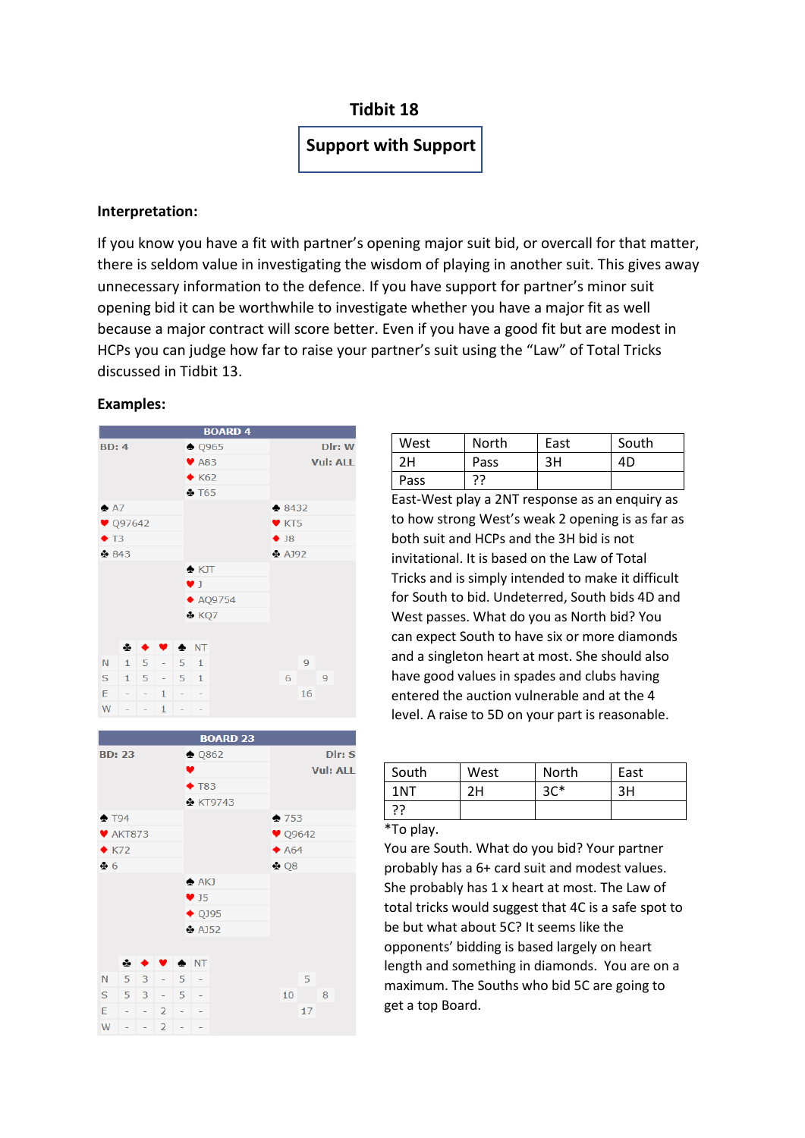# **Tidbit 18**

# **Support with Support**

## **Interpretation:**

If you know you have a fit with partner's opening major suit bid, or overcall for that matter, there is seldom value in investigating the wisdom of playing in another suit. This gives away unnecessary information to the defence. If you have support for partner's minor suit opening bid it can be worthwhile to investigate whether you have a major fit as well because a major contract will score better. Even if you have a good fit but are modest in HCPs you can judge how far to raise your partner's suit using the "Law" of Total Tricks discussed in Tidbit 13.

#### **Examples:**





| West | North | East | South |
|------|-------|------|-------|
| 2H   | Pass  | 3H   | 4D    |
| Pass | ככ    |      |       |

East-West play a 2NT response as an enquiry as to how strong West's weak 2 opening is as far as both suit and HCPs and the 3H bid is not invitational. It is based on the Law of Total Tricks and is simply intended to make it difficult for South to bid. Undeterred, South bids 4D and West passes. What do you as North bid? You can expect South to have six or more diamonds and a singleton heart at most. She should also have good values in spades and clubs having entered the auction vulnerable and at the 4 level. A raise to 5D on your part is reasonable.

| South | West | <b>North</b> | East |
|-------|------|--------------|------|
| 1NT   | 2Н   | $3C*$        | ЗH   |
|       |      |              |      |

### \*To play.

You are South. What do you bid? Your partner probably has a 6+ card suit and modest values. She probably has 1 x heart at most. The Law of total tricks would suggest that 4C is a safe spot to be but what about 5C? It seems like the opponents' bidding is based largely on heart length and something in diamonds. You are on a maximum. The Souths who bid 5C are going to get a top Board.